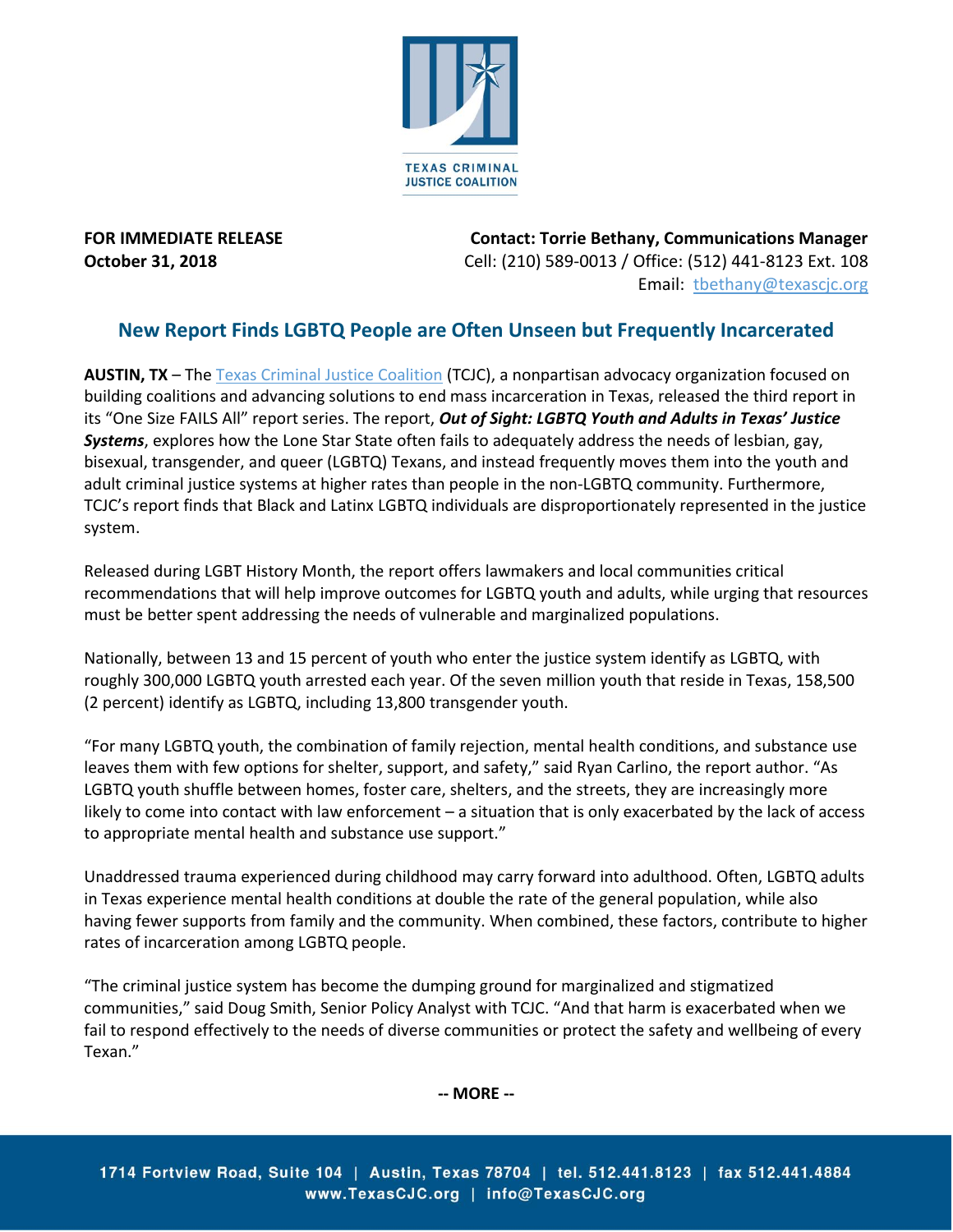

**FOR IMMEDIATE RELEASE Contact: Torrie Bethany, Communications Manager October 31, 2018** Cell: (210) 589-0013 / Office: (512) 441-8123 Ext. 108 Email: [tbethany@texascjc.org](mailto:tbethany@texascjc.org)

## **New Report Finds LGBTQ People are Often Unseen but Frequently Incarcerated**

**AUSTIN, TX** – Th[e Texas Criminal Justice Coalition](https://www.texascjc.org/) (TCJC), a nonpartisan advocacy organization focused on building coalitions and advancing solutions to end mass incarceration in Texas, released the third report in its "One Size FAILS All" report series. The report, *Out of Sight: LGBTQ Youth and Adults in Texas' Justice Systems*, explores how the Lone Star State often fails to adequately address the needs of lesbian, gay, bisexual, transgender, and queer (LGBTQ) Texans, and instead frequently moves them into the youth and adult criminal justice systems at higher rates than people in the non-LGBTQ community. Furthermore, TCJC's report finds that Black and Latinx LGBTQ individuals are disproportionately represented in the justice system.

Released during LGBT History Month, the report offers lawmakers and local communities critical recommendations that will help improve outcomes for LGBTQ youth and adults, while urging that resources must be better spent addressing the needs of vulnerable and marginalized populations.

Nationally, between 13 and 15 percent of youth who enter the justice system identify as LGBTQ, with roughly 300,000 LGBTQ youth arrested each year. Of the seven million youth that reside in Texas, 158,500 (2 percent) identify as LGBTQ, including 13,800 transgender youth.

"For many LGBTQ youth, the combination of family rejection, mental health conditions, and substance use leaves them with few options for shelter, support, and safety," said Ryan Carlino, the report author. "As LGBTQ youth shuffle between homes, foster care, shelters, and the streets, they are increasingly more likely to come into contact with law enforcement – a situation that is only exacerbated by the lack of access to appropriate mental health and substance use support."

Unaddressed trauma experienced during childhood may carry forward into adulthood. Often, LGBTQ adults in Texas experience mental health conditions at double the rate of the general population, while also having fewer supports from family and the community. When combined, these factors, contribute to higher rates of incarceration among LGBTQ people.

"The criminal justice system has become the dumping ground for marginalized and stigmatized communities," said Doug Smith, Senior Policy Analyst with TCJC. "And that harm is exacerbated when we fail to respond effectively to the needs of diverse communities or protect the safety and wellbeing of every Texan."

**-- MORE --**

1714 Fortview Road, Suite 104 | Austin, Texas 78704 | tel. 512.441.8123 | fax 512.441.4884 www.TexasCJC.org | info@TexasCJC.org